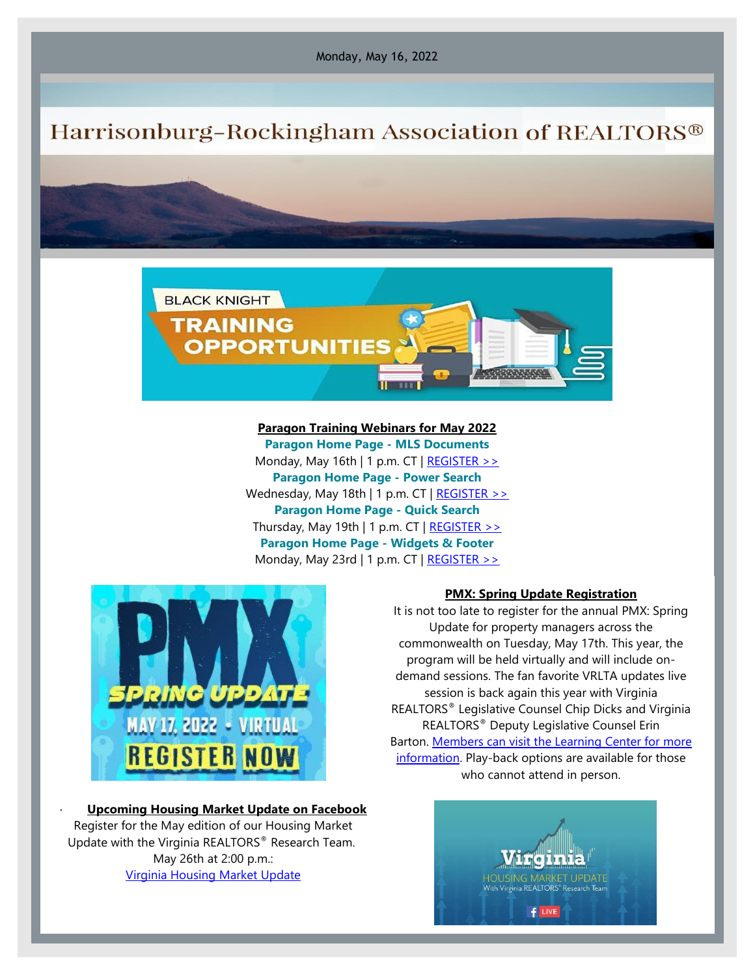Monday, May 16, 2022

## Harrisonburg-Rockingham Association of REALTORS®



## **Paragon Training Webinars for May 2022 Paragon Home Page - MLS Documents** Monday, May 16th | 1 p.m. CT  $\vert$  [REGISTER >>](https://engage.blackknightinc.com/e3t/Ctc/I6+113/cW3RL04/VVmsjL6sdtdvN7GxPPXKRw8GW8LzBkh4JjqT5MhPPRS3lLBmV1-WJV7CgZk0W1Przl_5NtxTWVB3Z1b1xpGF_W7-1Kyz7XtBjrVLl-2k4XXr_dW8swQRP3G6H6TW2Bc1tD7sY01vW3qP2783ykGmRW52nh4J6jz9W7W1gy6R016K_5HW3JBW4D7x_MRHN95fLG-rs5_DW8bm3kv3653KHN4JSCGBTmZkhW595pzg5VyVJWW4M0Kd-2YPtx-VpdR0V146CDGW2h7HK9195YVNW1Hd8_S3gbhdPW4hWC7v2SnSd3N8TH_cN5LdSTW3c3KQB94QYXjW1LgBM63k-b4k31fH1) **Paragon Home Page - Power Search** Wednesday, May 18th | 1 p.m. CT | [REGISTER >>](https://engage.blackknightinc.com/e3t/Ctc/I6+113/cW3RL04/VVmsjL6sdtdvN7GxPPXKRw8GW8LzBkh4JjqT5MhPPRS3lLBmV1-WJV7CgGRJVVzcZZ5j32t8W1DHNTD3w8ln_W2zlbV561SJDnN4pXy2slTGXHN6qJt1j529PZW78bFz68V26p2N23zh9hyWDk9N5NJ6Jn3rVC3W8jj-kS3wwC7sW8SNVyD1wG956W7-kQjp86yGp9W8CkyDV61-Zj2W421Nmb3h1PPMW1yP2R08qx125W3Rn9qk7sgpzyVLSvhN7GhDLLW5ZbsXx18RWL3W5KxRmy3tW9TWW6g3hRW579b3-W4S8NFl1mbzsBW9fz-LK7jqWh0W3xX8l_3qTCRW33v41) **Paragon Home Page - Quick Search** Thursday, May 19th | 1 p.m. CT  $|$  [REGISTER >>](https://engage.blackknightinc.com/e3t/Ctc/I6+113/cW3RL04/VVmsjL6sdtdvN7GxPPXKRw8GW8LzBkh4JjqT5MhPPRS3lLBmV1-WJV7CgMrVW1K_13l15C-cnW93bbyh9f29vRW6KXRTR1w0jtZW2fgpyw2yL2zkW60xwLN7hGv1BW7wkFyp6WS3llN1KHLLBDlXscW8ZtKss288SNnW4Bcf3V6wqYtCW4cyH3l18Mt-SW1TGvhS8VZ14KW5sZyWf2dS7zfN67Mz2zYS7KrW8ssZMS4kff4YW1xQV244N1HMSW6hMXHP1-r2xCW98cr-B6R9_8TW8G_YGP8drntbVw6h1q25lc_yW1dFcNd1-XygpW8XD2W01vr1cmN3czsh6CNB0P399h1) **Paragon Home Page - Widgets & Footer** Monday, May 23rd | 1 p.m. CT  $\vert$  [REGISTER >>](https://engage.blackknightinc.com/e3t/Ctc/I6+113/cW3RL04/VVmsjL6sdtdvN7GxPPXKRw8GW8LzBkh4JjqT5MhPPRS3lLBmV1-WJV7CgFnjN1hm_pXVdF8qW2ckwhL4ZmGLKW1dVG4V5TGmJrW7h7MH77NXlcfW9bLvsd38GJQ0N2BTWml3vBYDW1qQCxR24JJtZW11yCZx8Dyj2JW3Zvrlb2Yxx_6W84Q4b12D-CfgN4hb0fSyrpdLW6h48hG5MDsQsW6J9Lkg7JrwmPW3hqm1G167BX8W2CQPrQ1ybytyW1QhdGl3wVzNlW6WDjxN683qF4W4rS-pj4-kPyJW2dYvdy4BF1QsW4QRSgB2L_HPmVHK8SC102xbPW2f4MBW1SNQn03n6B1)



## · **Upcoming Housing Market Update on Facebook** Register for the May edition of our Housing Market Update with the Virginia REALTORS® Research Team. May 26th at 2:00 p.m.: [Virginia Housing Market Update](https://elink.clickdimensions.com/c/7/eyJhaSI6Mzk4NDYwNjUsImUiOiJzdGFmZkBocmFyLmNvbSIsInJpIjoiY29udGFjdC0xZWRmODMwNGZlNzc0NWZjODU0NTFmMDhjNzc0OWE4YS1lZGQzY2NmNTYwZmE0OWQ0YTgwNTE5MjNiMjNhMWZjMSIsInJxIjoiMDItYjIyMTMyLWMzZjc2YzE3MzA4YjQ1MWFhMThlNWVlM2JmMTc5ODIxIiwicGgiOm51bGwsIm0iOmZhbHNlLCJ1aSI6IjExIiwidW4iOiIiLCJ1IjoiaHR0cHM6Ly93d3cuZmFjZWJvb2suY29tL2V2ZW50cy8zNjQ5ODQ2Njg4MzgxNzg_YWNvbnRleHQ9eyUyMmV2ZW50X2FjdGlvbl9oaXN0b3J5JTIyJTNBW3slMjJzdXJmYWNlJTIyJTNBJTIycGFnZSUyMn1dfSZfY2xkZWU9YUhwODJsUmdQb3BobktWb3ZSWW1udW40eGV0RFlzNWJCVllIT0p0YWlyUVduNTZCNDlyZ010R2hZNUdhU0Z0UiZyZWNpcGllbnRpZD1jb250YWN0LTFlZGY4MzA0ZmU3NzQ1ZmM4NTQ1MWYwOGM3NzQ5YThhLWVkZDNjY2Y1NjBmYTQ5ZDRhODA1MTkyM2IyM2ExZmMxJmVzaWQ9N2RkNDVlNGUtODJkMC1lYzExLTljODQtMDAxNTVkMTAxMjFmIn0/IU4Bk4ZWazcHKzY5U0ij1g)

## **PMX: Spring Update Registration**

It is not too late to register for the annual PMX: Spring Update for property managers across the commonwealth on Tuesday, May 17th. This year, the program will be held virtually and will include ondemand sessions. The fan favorite VRLTA updates live session is back again this year with Virginia REALTORS® Legislative Counsel Chip Dicks and Virginia REALTORS® Deputy Legislative Counsel Erin Barton. [Members can visit the Learning Center for more](https://elink.clickdimensions.com/c/7/eyJhaSI6Mzk4NDYwNjUsImUiOiJzdGFmZkBocmFyLmNvbSIsInJpIjoiY29udGFjdC0xZWRmODMwNGZlNzc0NWZjODU0NTFmMDhjNzc0OWE4YS1lZGQzY2NmNTYwZmE0OWQ0YTgwNTE5MjNiMjNhMWZjMSIsInJxIjoiMDItYjIyMTMyLWMzZjc2YzE3MzA4YjQ1MWFhMThlNWVlM2JmMTc5ODIxIiwicGgiOm51bGwsIm0iOmZhbHNlLCJ1aSI6IjE0IiwidW4iOiIiLCJ1IjoiaHR0cHM6Ly9sZWFybi52aXJnaW5pYXJlYWx0b3JzLm9yZy8_X2NsZGVlPWFIcDgybFJnUG9waG5LVm92UlltbnVuNHhldERZczViQlZZSE9KdGFpclFXbjU2QjQ5cmdNdEdoWTVHYVNGdFImcmVjaXBpZW50aWQ9Y29udGFjdC0xZWRmODMwNGZlNzc0NWZjODU0NTFmMDhjNzc0OWE4YS1lZGQzY2NmNTYwZmE0OWQ0YTgwNTE5MjNiMjNhMWZjMSZlc2lkPTdkZDQ1ZTRlLTgyZDAtZWMxMS05Yzg0LTAwMTU1ZDEwMTIxZiJ9/5MhnD9j-wGUxLhOT4b0izQ)  [information.](https://elink.clickdimensions.com/c/7/eyJhaSI6Mzk4NDYwNjUsImUiOiJzdGFmZkBocmFyLmNvbSIsInJpIjoiY29udGFjdC0xZWRmODMwNGZlNzc0NWZjODU0NTFmMDhjNzc0OWE4YS1lZGQzY2NmNTYwZmE0OWQ0YTgwNTE5MjNiMjNhMWZjMSIsInJxIjoiMDItYjIyMTMyLWMzZjc2YzE3MzA4YjQ1MWFhMThlNWVlM2JmMTc5ODIxIiwicGgiOm51bGwsIm0iOmZhbHNlLCJ1aSI6IjE0IiwidW4iOiIiLCJ1IjoiaHR0cHM6Ly9sZWFybi52aXJnaW5pYXJlYWx0b3JzLm9yZy8_X2NsZGVlPWFIcDgybFJnUG9waG5LVm92UlltbnVuNHhldERZczViQlZZSE9KdGFpclFXbjU2QjQ5cmdNdEdoWTVHYVNGdFImcmVjaXBpZW50aWQ9Y29udGFjdC0xZWRmODMwNGZlNzc0NWZjODU0NTFmMDhjNzc0OWE4YS1lZGQzY2NmNTYwZmE0OWQ0YTgwNTE5MjNiMjNhMWZjMSZlc2lkPTdkZDQ1ZTRlLTgyZDAtZWMxMS05Yzg0LTAwMTU1ZDEwMTIxZiJ9/5MhnD9j-wGUxLhOT4b0izQ) Play-back options are available for those who cannot attend in person.